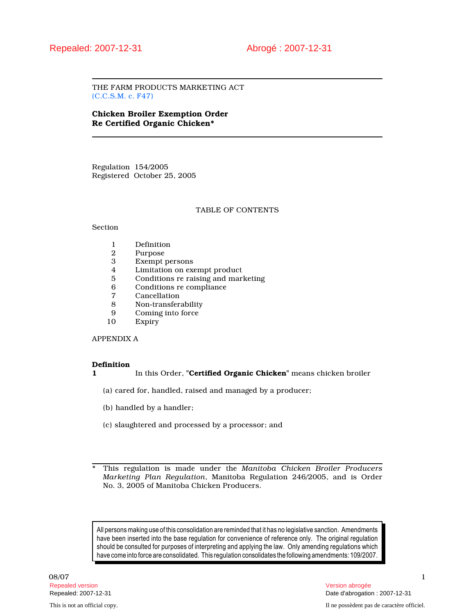THE FARM PRODUCTS MARKETING ACT (C.C.S.M. c. F47)

# Chicken Broiler Exemption Order Re Certified Organic Chicken\*

Regulation 154/2005 Registered October 25, 2005

## TABLE OF CONTENTS

# Section

- 1 Definition<br>2 Purpose
- 2 Purpose<br>3 Exempt
- 3 Exempt persons
- 4 Limitation on exempt product<br>5 Conditions re raising and mark
- 5 Conditions re raising and marketing<br>6 Conditions re compliance
- 6 Conditions re compliance
- 7 Cancellation<br>8 Non-transfer
- 8 Non-transferability<br>9 Coming into force
- 9 Coming into force<br>10 Expiry
- **Expiry**

## APPENDIX A

## Definition

1 In this Order, "Certified Organic Chicken" means chicken broiler

(a) cared for, handled, raised and managed by a producer;

- (b) handled by a handler;
- (c) slaughtered and processed by a processor; and

This regulation is made under the Manitoba Chicken Broiler Producers Marketing Plan Regulation, Manitoba Regulation 246/2005, and is Order No. 3, 2005 of Manitoba Chicken Producers.

All persons making use of this consolidation are reminded that it has no legislative sanction. Amendments have been inserted into the base regulation for convenience of reference only. The original regulation should be consulted for purposes of interpreting and applying the law. Only amending regulations which have come into force are consolidated. This regulation consolidates the following amendments: 109/2007.

08/07 and the contract of the contract of the contract of the contract of the contract of the contract of the contract of the contract of the contract of the contract of the contract of the contract of the contract of the Repealed version Version abrogée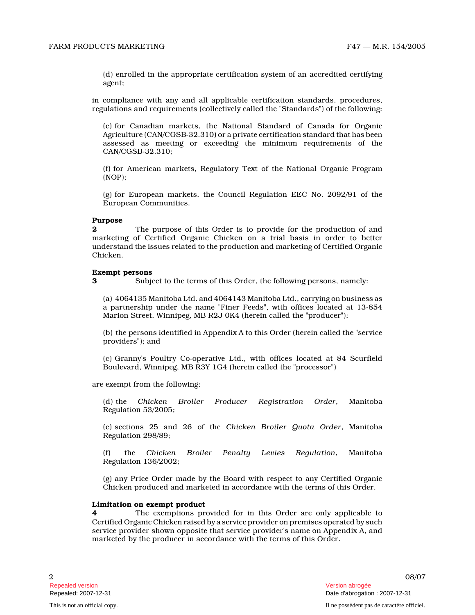(d) enrolled in the appropriate certification system of an accredited certifying agent;

in compliance with any and all applicable certification standards, procedures, regulations and requirements (collectively called the "Standards") of the following:

(e) for Canadian markets, the National Standard of Canada for Organic Agriculture (CAN/CGSB-32.310) or a private certification standard that has been assessed as meeting or exceeding the minimum requirements of the CAN/CGSB-32.310;

(f) for American markets, Regulatory Text of the National Organic Program (NOP);

(g) for European markets, the Council Regulation EEC No. 2092/91 of the European Communities.

### Purpose

The purpose of this Order is to provide for the production of and marketing of Certified Organic Chicken on a trial basis in order to better understand the issues related to the production and marketing of Certified Organic Chicken.

### Exempt persons

3 Subject to the terms of this Order, the following persons, namely:

(a) 4064135 Manitoba Ltd. and 4064143 Manitoba Ltd., carrying on business as a partnership under the name "Finer Feeds", with offices located at 13-854 Marion Street, Winnipeg, MB R2J 0K4 (herein called the "producer");

(b) the persons identified in Appendix A to this Order (herein called the "service providers"); and

(c) Granny's Poultry Co-operative Ltd., with offices located at 84 Scurfield Boulevard, Winnipeg, MB R3Y 1G4 (herein called the "processor")

are exempt from the following:

(d) the Chicken Broiler Producer Registration Order, Manitoba Regulation 53/2005;

(e) sections 25 and 26 of the Chicken Broiler Quota Order, Manitoba Regulation 298/89;

the Chicken Broiler Penalty Levies Regulation, Manitoba Regulation 136/2002;

(g) any Price Order made by the Board with respect to any Certified Organic Chicken produced and marketed in accordance with the terms of this Order.

## Limitation on exempt product

4 The exemptions provided for in this Order are only applicable to Certified Organic Chicken raised by a service provider on premises operated by such service provider shown opposite that service provider's name on Appendix A, and marketed by the producer in accordance with the terms of this Order.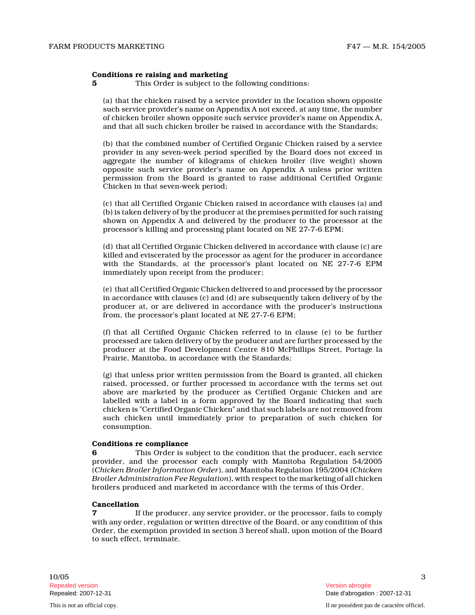#### Conditions re raising and marketing

**5** This Order is subject to the following conditions:

(a) that the chicken raised by a service provider in the location shown opposite such service provider's name on Appendix A not exceed, at any time, the number of chicken broiler shown opposite such service provider's name on Appendix A, and that all such chicken broiler be raised in accordance with the Standards;

(b) that the combined number of Certified Organic Chicken raised by a service provider in any seven-week period specified by the Board does not exceed in aggregate the number of kilograms of chicken broiler (live weight) shown opposite such service provider's name on Appendix A unless prior written permission from the Board is granted to raise additional Certified Organic Chicken in that seven-week period;

(c) that all Certified Organic Chicken raised in accordance with clauses (a) and (b) is taken delivery of by the producer at the premises permitted for such raising shown on Appendix A and delivered by the producer to the processor at the processor's killing and processing plant located on NE 27-7-6 EPM;

(d) that all Certified Organic Chicken delivered in accordance with clause (c) are killed and eviscerated by the processor as agent for the producer in accordance with the Standards, at the processor's plant located on NE 27-7-6 EPM immediately upon receipt from the producer;

(e) that all Certified Organic Chicken delivered to and processed by the processor in accordance with clauses (c) and (d) are subsequently taken delivery of by the producer at, or are delivered in accordance with the producer's instructions from, the processor's plant located at NE 27-7-6 EPM;

(f) that all Certified Organic Chicken referred to in clause (e) to be further processed are taken delivery of by the producer and are further processed by the producer at the Food Development Centre 810 McPhillips Street, Portage la Prairie, Manitoba, in accordance with the Standards ;

(g) that unless prior written permission from the Board is granted, all chicken raised, processed, or further processed in accordance with the terms set out above are marketed by the producer as Certified Organic Chicken and are labelled with a label in a form approved by the Board indicating that such chicken is "Certified Organic Chicken" and that such labels are not removed from such chicken until immediately prior to preparation of such chicken for consumption.

## Conditions re compliance

6 This Order is subject to the condition that the producer, each service provider, and the processor each comply with Manitoba Regulation 54/2005 (Chicken Broiler Information Order), and Manitoba Regulation 195/2004 (Chicken Broiler Administration Fee Regulation), with respect to the marketing of all chicken broilers produced and marketed in accordance with the terms of this Order.

### Cancellation

7 If the producer, any service provider, or the processor, fails to comply with any order, regulation or written directive of the Board, or any condition of this Order, the exemption provided in section 3 hereof shall, upon motion of the Board to such effect, terminate.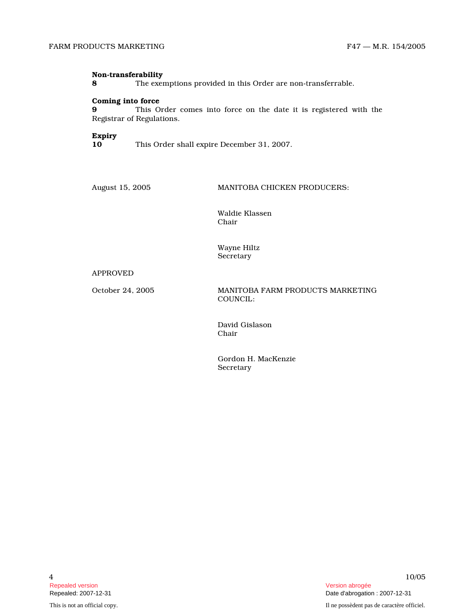### Non-transferability

8 The exemptions provided in this Order are non-transferrable.

# Coming into force

9 This Order comes into force on the date it is registered with the Registrar of Regulations.

### Expiry

10 This Order shall expire December 31, 2007.

August 15, 2005 MANITOBA CHICKEN PRODUCERS:

Waldie Klassen Chair

Wayne Hiltz **Secretary** 

# APPROVED

October 24, 2005 MANITOBA FARM PRODUCTS MARKETING COUNCIL:

> David Gislason Chair

Gordon H. MacKenzie Secretary